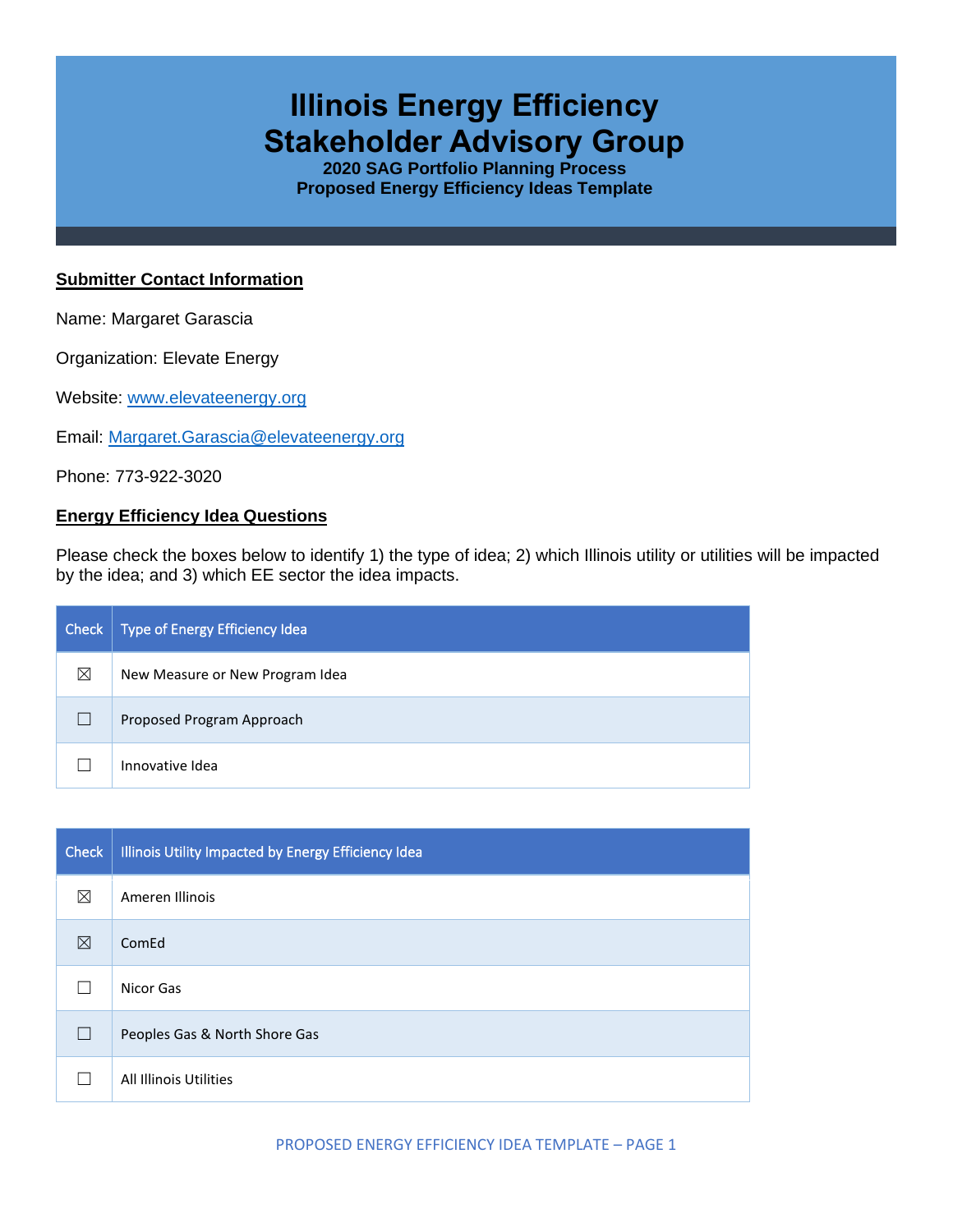# **Illinois Energy Efficiency Stakeholder Advisory Group**

**2020 SAG Portfolio Planning Process Proposed Energy Efficiency Ideas Template**

#### **Submitter Contact Information**

Name: Margaret Garascia

Organization: Elevate Energy

Website: [www.elevateenergy.org](http://www.elevateenergy.org/)

Email: [Margaret.Garascia@elevateenergy.org](mailto:Margaret.Garascia@elevateenergy.org)

Phone: 773-922-3020

### **Energy Efficiency Idea Questions**

Please check the boxes below to identify 1) the type of idea; 2) which Illinois utility or utilities will be impacted by the idea; and 3) which EE sector the idea impacts.

| Check | Type of Energy Efficiency Idea  |
|-------|---------------------------------|
| ⊠     | New Measure or New Program Idea |
|       | Proposed Program Approach       |
|       | Innovative Idea                 |

| Check $ $    | Illinois Utility Impacted by Energy Efficiency Idea |
|--------------|-----------------------------------------------------|
| ⊠            | Ameren Illinois                                     |
| ⊠            | ComEd                                               |
|              | Nicor Gas                                           |
| $\mathbf{I}$ | Peoples Gas & North Shore Gas                       |
|              | All Illinois Utilities                              |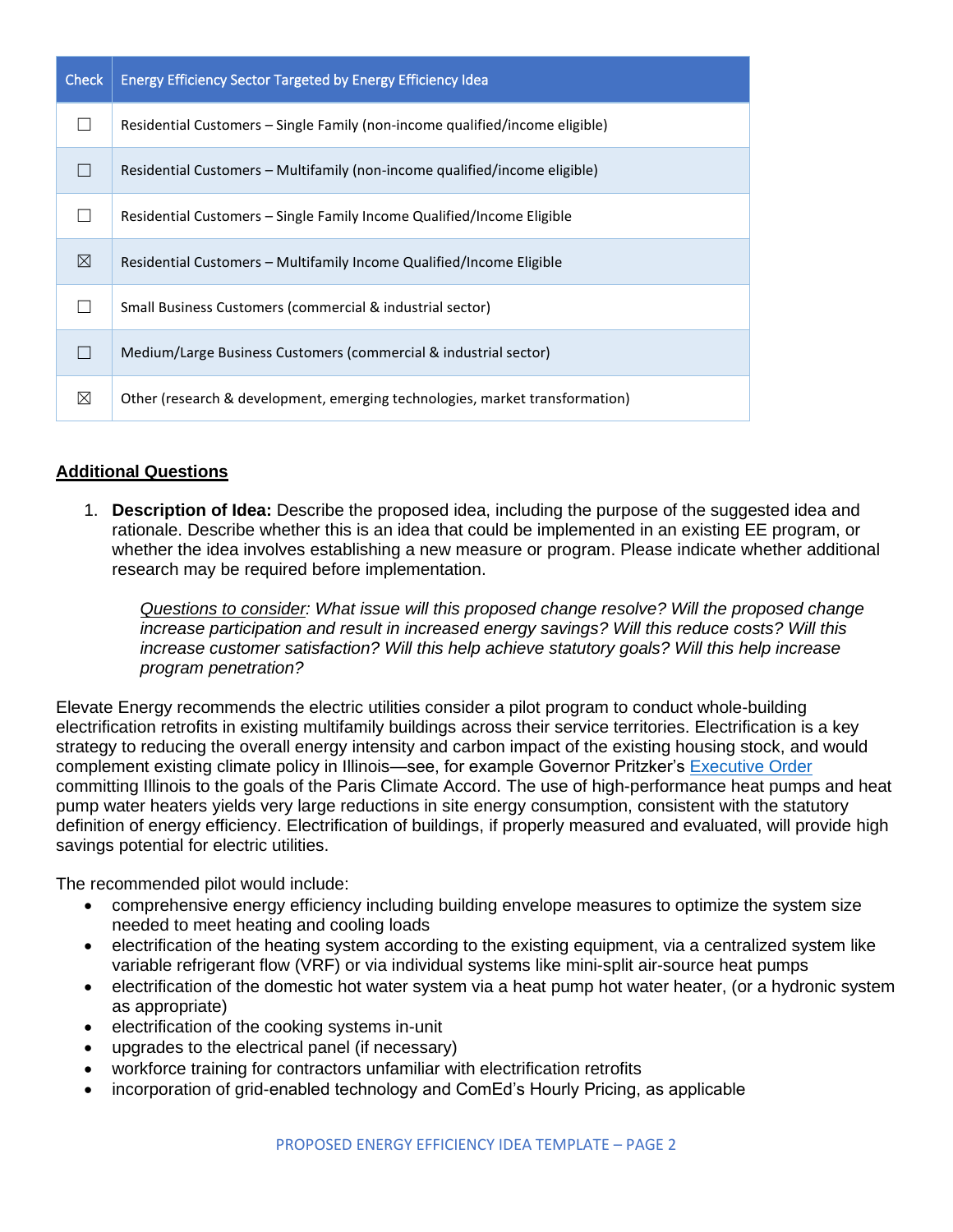| <b>Check</b> | <b>Energy Efficiency Sector Targeted by Energy Efficiency Idea</b>           |
|--------------|------------------------------------------------------------------------------|
|              | Residential Customers – Single Family (non-income qualified/income eligible) |
|              | Residential Customers – Multifamily (non-income qualified/income eligible)   |
|              | Residential Customers – Single Family Income Qualified/Income Eligible       |
| ⊠            | Residential Customers – Multifamily Income Qualified/Income Eligible         |
|              | Small Business Customers (commercial & industrial sector)                    |
|              | Medium/Large Business Customers (commercial & industrial sector)             |
| ⊠            | Other (research & development, emerging technologies, market transformation) |

## **Additional Questions**

1. **Description of Idea:** Describe the proposed idea, including the purpose of the suggested idea and rationale. Describe whether this is an idea that could be implemented in an existing EE program, or whether the idea involves establishing a new measure or program. Please indicate whether additional research may be required before implementation.

*Questions to consider: What issue will this proposed change resolve? Will the proposed change increase participation and result in increased energy savings? Will this reduce costs? Will this increase customer satisfaction? Will this help achieve statutory goals? Will this help increase program penetration?* 

Elevate Energy recommends the electric utilities consider a pilot program to conduct whole-building electrification retrofits in existing multifamily buildings across their service territories. Electrification is a key strategy to reducing the overall energy intensity and carbon impact of the existing housing stock, and would complement existing climate policy in Illinois—see, for example Governor Pritzker's [Executive Order](https://www2.illinois.gov/epa/topics/climate/Pages/default.aspx) committing Illinois to the goals of the Paris Climate Accord. The use of high-performance heat pumps and heat pump water heaters yields very large reductions in site energy consumption, consistent with the statutory definition of energy efficiency. Electrification of buildings, if properly measured and evaluated, will provide high savings potential for electric utilities.

The recommended pilot would include:

- comprehensive energy efficiency including building envelope measures to optimize the system size needed to meet heating and cooling loads
- electrification of the heating system according to the existing equipment, via a centralized system like variable refrigerant flow (VRF) or via individual systems like mini-split air-source heat pumps
- electrification of the domestic hot water system via a heat pump hot water heater, (or a hydronic system as appropriate)
- electrification of the cooking systems in-unit
- upgrades to the electrical panel (if necessary)
- workforce training for contractors unfamiliar with electrification retrofits
- incorporation of grid-enabled technology and ComEd's Hourly Pricing, as applicable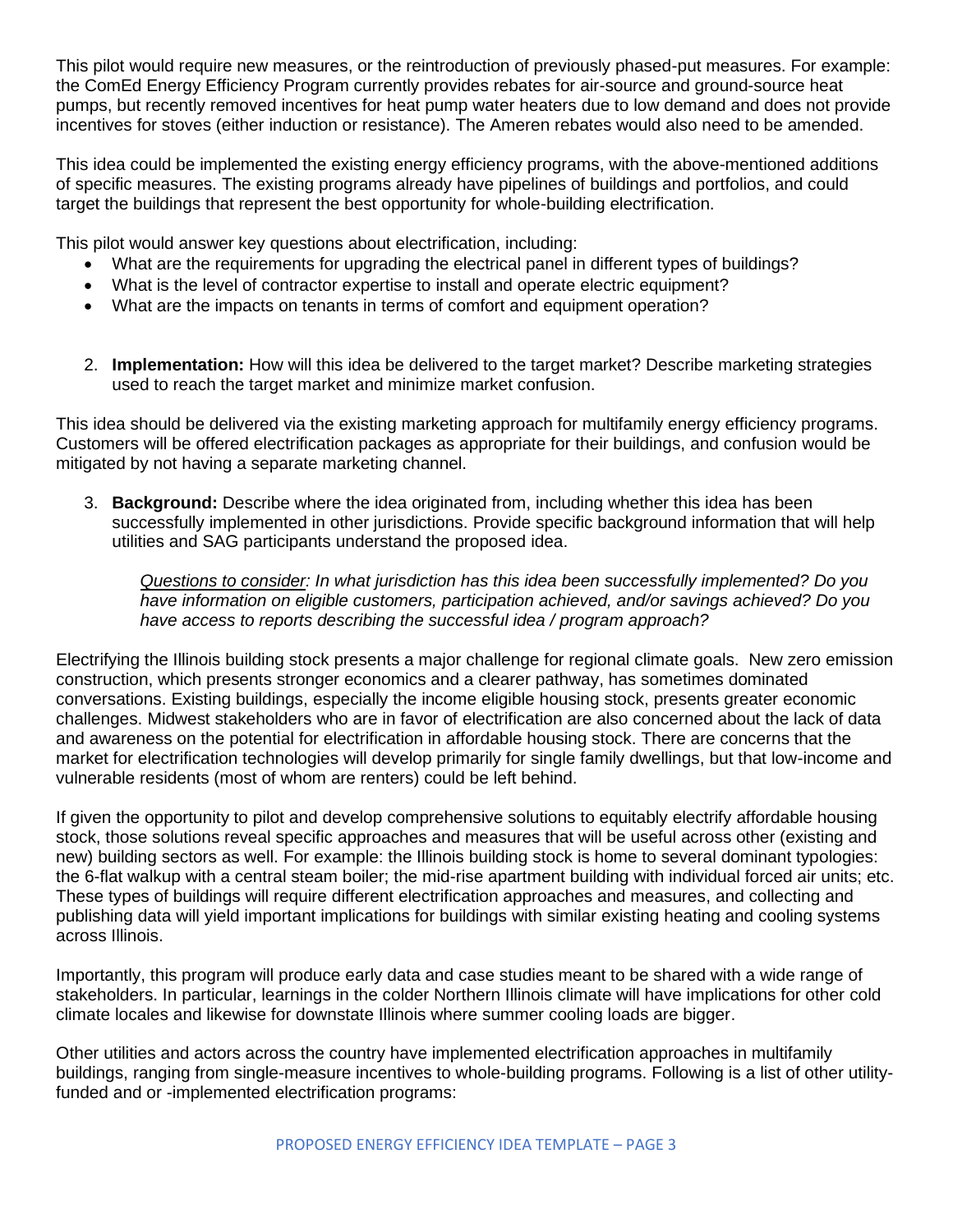This pilot would require new measures, or the reintroduction of previously phased-put measures. For example: the ComEd Energy Efficiency Program currently provides rebates for air-source and ground-source heat pumps, but recently removed incentives for heat pump water heaters due to low demand and does not provide incentives for stoves (either induction or resistance). The Ameren rebates would also need to be amended.

This idea could be implemented the existing energy efficiency programs, with the above-mentioned additions of specific measures. The existing programs already have pipelines of buildings and portfolios, and could target the buildings that represent the best opportunity for whole-building electrification.

This pilot would answer key questions about electrification, including:

- What are the requirements for upgrading the electrical panel in different types of buildings?
- What is the level of contractor expertise to install and operate electric equipment?
- What are the impacts on tenants in terms of comfort and equipment operation?
- 2. **Implementation:** How will this idea be delivered to the target market? Describe marketing strategies used to reach the target market and minimize market confusion.

This idea should be delivered via the existing marketing approach for multifamily energy efficiency programs. Customers will be offered electrification packages as appropriate for their buildings, and confusion would be mitigated by not having a separate marketing channel.

3. **Background:** Describe where the idea originated from, including whether this idea has been successfully implemented in other jurisdictions. Provide specific background information that will help utilities and SAG participants understand the proposed idea.

*Questions to consider: In what jurisdiction has this idea been successfully implemented? Do you have information on eligible customers, participation achieved, and/or savings achieved? Do you have access to reports describing the successful idea / program approach?* 

Electrifying the Illinois building stock presents a major challenge for regional climate goals. New zero emission construction, which presents stronger economics and a clearer pathway, has sometimes dominated conversations. Existing buildings, especially the income eligible housing stock, presents greater economic challenges. Midwest stakeholders who are in favor of electrification are also concerned about the lack of data and awareness on the potential for electrification in affordable housing stock. There are concerns that the market for electrification technologies will develop primarily for single family dwellings, but that low-income and vulnerable residents (most of whom are renters) could be left behind.

If given the opportunity to pilot and develop comprehensive solutions to equitably electrify affordable housing stock, those solutions reveal specific approaches and measures that will be useful across other (existing and new) building sectors as well. For example: the Illinois building stock is home to several dominant typologies: the 6-flat walkup with a central steam boiler; the mid-rise apartment building with individual forced air units; etc. These types of buildings will require different electrification approaches and measures, and collecting and publishing data will yield important implications for buildings with similar existing heating and cooling systems across Illinois.

Importantly, this program will produce early data and case studies meant to be shared with a wide range of stakeholders. In particular, learnings in the colder Northern Illinois climate will have implications for other cold climate locales and likewise for downstate Illinois where summer cooling loads are bigger.

Other utilities and actors across the country have implemented electrification approaches in multifamily buildings, ranging from single-measure incentives to whole-building programs. Following is a list of other utilityfunded and or -implemented electrification programs: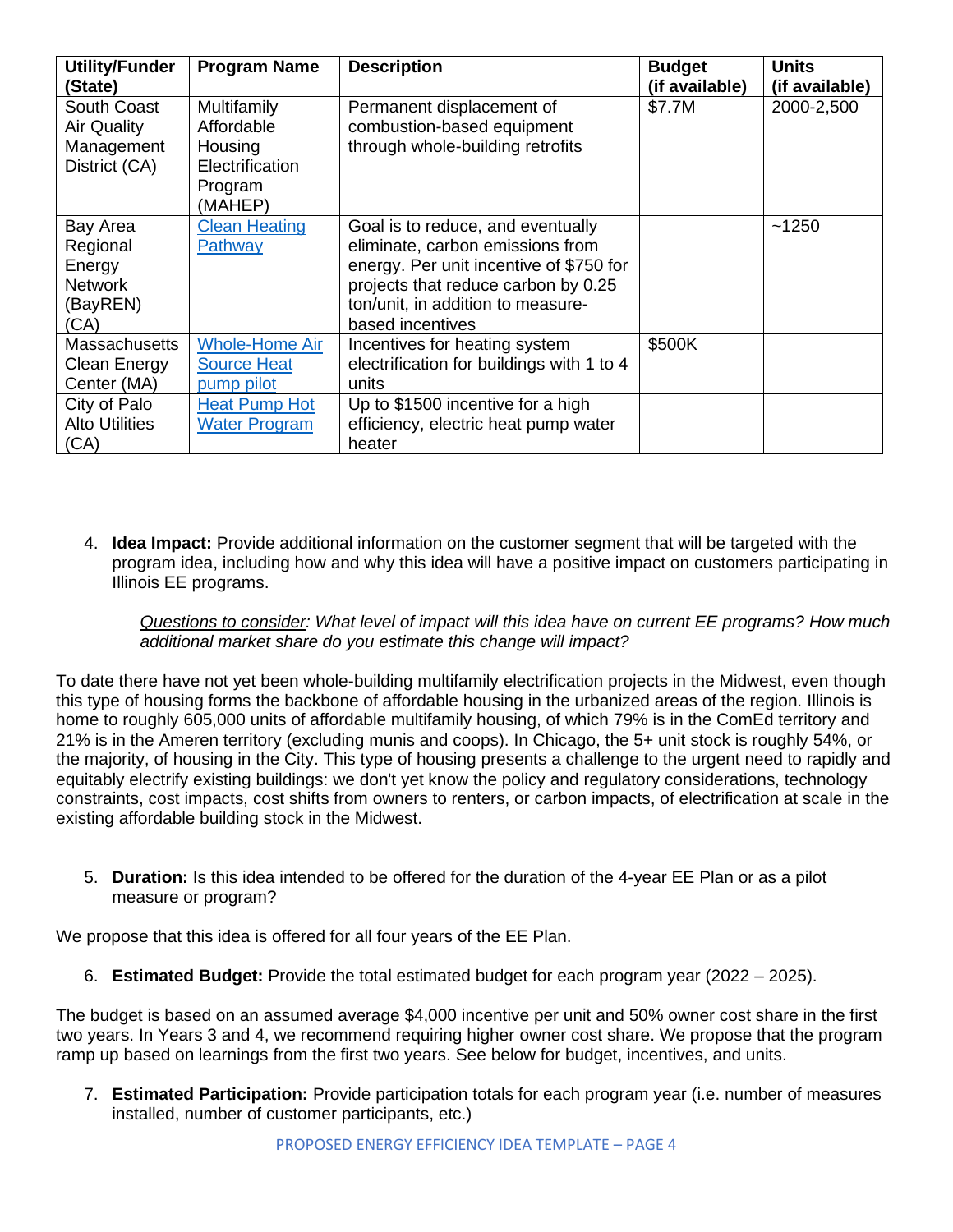| <b>Utility/Funder</b><br>(State)  | <b>Program Name</b>       | <b>Description</b>                                      | <b>Budget</b><br>(if available) | <b>Units</b><br>(if available) |
|-----------------------------------|---------------------------|---------------------------------------------------------|---------------------------------|--------------------------------|
| South Coast<br><b>Air Quality</b> | Multifamily<br>Affordable | Permanent displacement of<br>combustion-based equipment | \$7.7M                          | 2000-2,500                     |
| Management                        | Housing                   | through whole-building retrofits                        |                                 |                                |
| District (CA)                     | Electrification           |                                                         |                                 |                                |
|                                   | Program                   |                                                         |                                 |                                |
|                                   | (MAHEP)                   |                                                         |                                 |                                |
| Bay Area                          | <b>Clean Heating</b>      | Goal is to reduce, and eventually                       |                                 | ~1250                          |
| Regional                          | Pathway                   | eliminate, carbon emissions from                        |                                 |                                |
| Energy                            |                           | energy. Per unit incentive of \$750 for                 |                                 |                                |
| <b>Network</b>                    |                           | projects that reduce carbon by 0.25                     |                                 |                                |
| (BayREN)                          |                           | ton/unit, in addition to measure-                       |                                 |                                |
| (CA)                              |                           | based incentives                                        |                                 |                                |
| <b>Massachusetts</b>              | <b>Whole-Home Air</b>     | Incentives for heating system                           | \$500K                          |                                |
| <b>Clean Energy</b>               | <b>Source Heat</b>        | electrification for buildings with 1 to 4               |                                 |                                |
| Center (MA)                       | pump pilot                | units                                                   |                                 |                                |
| City of Palo                      | <b>Heat Pump Hot</b>      | Up to \$1500 incentive for a high                       |                                 |                                |
| <b>Alto Utilities</b>             | <b>Water Program</b>      | efficiency, electric heat pump water                    |                                 |                                |
| (CA)                              |                           | heater                                                  |                                 |                                |

4. **Idea Impact:** Provide additional information on the customer segment that will be targeted with the program idea, including how and why this idea will have a positive impact on customers participating in Illinois EE programs.

*Questions to consider: What level of impact will this idea have on current EE programs? How much additional market share do you estimate this change will impact?*

To date there have not yet been whole-building multifamily electrification projects in the Midwest, even though this type of housing forms the backbone of affordable housing in the urbanized areas of the region. Illinois is home to roughly 605,000 units of affordable multifamily housing, of which 79% is in the ComEd territory and 21% is in the Ameren territory (excluding munis and coops). In Chicago, the 5+ unit stock is roughly 54%, or the majority, of housing in the City. This type of housing presents a challenge to the urgent need to rapidly and equitably electrify existing buildings: we don't yet know the policy and regulatory considerations, technology constraints, cost impacts, cost shifts from owners to renters, or carbon impacts, of electrification at scale in the existing affordable building stock in the Midwest.

5. **Duration:** Is this idea intended to be offered for the duration of the 4-year EE Plan or as a pilot measure or program?

We propose that this idea is offered for all four years of the EE Plan.

6. **Estimated Budget:** Provide the total estimated budget for each program year (2022 – 2025).

The budget is based on an assumed average \$4,000 incentive per unit and 50% owner cost share in the first two years. In Years 3 and 4, we recommend requiring higher owner cost share. We propose that the program ramp up based on learnings from the first two years. See below for budget, incentives, and units.

7. **Estimated Participation:** Provide participation totals for each program year (i.e. number of measures installed, number of customer participants, etc.)